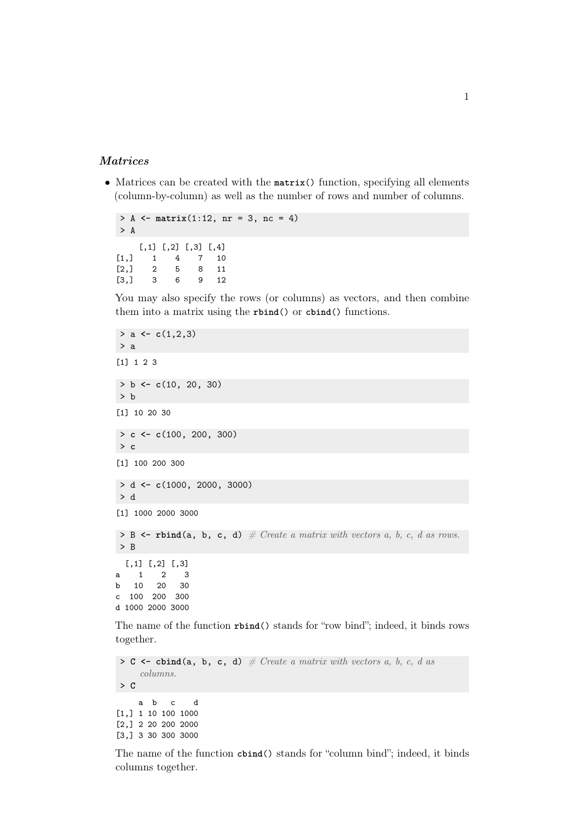## Matrices

• Matrices can be created with the **matrix**() function, specifying all elements (column-by-column) as well as the number of rows and number of columns.

```
> A <- matrix(1:12, nr = 3, nc = 4)
> A
   [,1] [,2] [,3] [,4]
[1,] 1 4 7 10
[2,] 2 5 8 11
[3,] 3 6 9 12
```
You may also specify the rows (or columns) as vectors, and then combine them into a matrix using the **rbind**() or **cbind**() functions.

```
> a <- c(1,2,3)
> a
[1] 1 2 3
> b <- c(10, 20, 30)
> b
[1] 10 20 30
> c <- c(100, 200, 300)
> c
[1] 100 200 300
> d <- c(1000, 2000, 3000)
> d
[1] 1000 2000 3000
> B \leq rbind(a, b, c, d) \# Create a matrix with vectors a, b, c, d as rows.
> B
 [,1] [,2] [,3]
a 1 2 3
b 10 20 30
c 100 200 300
d 1000 2000 3000
```
The name of the function **rbind**() stands for "row bind"; indeed, it binds rows together.

```
> C \leftarrow \text{cbind}(a, b, c, d) # Create a matrix with vectors a, b, c, d as
     columns.
> C
     a b c d
[1,] 1 10 100 1000
[2,] 2 20 200 2000
[3,] 3 30 300 3000
```
The name of the function **cbind**() stands for "column bind"; indeed, it binds columns together.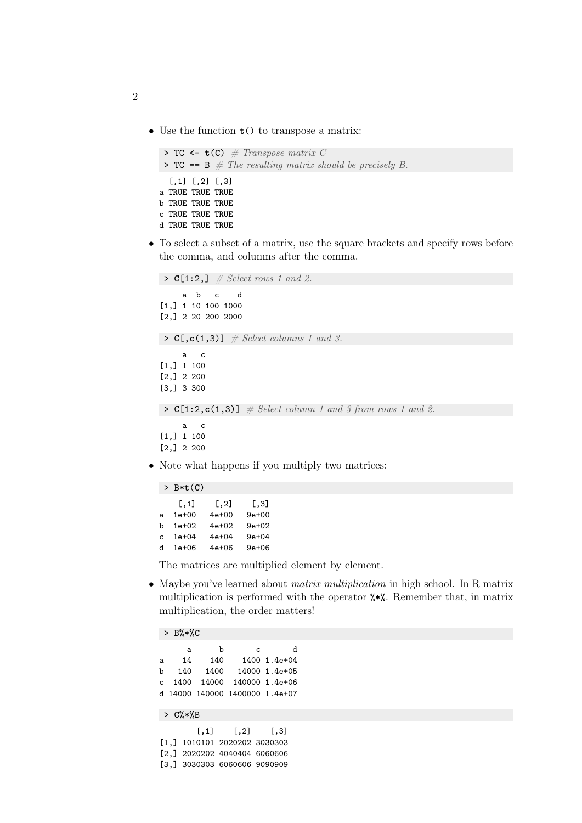• Use the function **t**() to transpose a matrix:

```
\triangleright TC \leftarrow t(C) \# Transpose matrix C
\triangleright TC == B \# The resulting matrix should be precisely B.
  [,1] [,2] [,3]
a TRUE TRUE TRUE
b TRUE TRUE TRUE
c TRUE TRUE TRUE
d TRUE TRUE TRUE
```
• To select a subset of a matrix, use the square brackets and specify rows before the comma, and columns after the comma.

```
\triangleright C[1:2,] \# Select rows 1 and 2.
     a b c d
[1,] 1 10 100 1000
[2,] 2 20 200 2000
\triangleright C[,c(1,3)] \# Select columns 1 and 3.
     a c
[1,] 1 100
[2,] 2 200
[3,] 3 300
> C[1:2,c(1,3)] \# Select column 1 and 3 from rows 1 and 2.a c
[1,] 1 100
[2,] 2 200
```
• Note what happens if you multiply two matrices:

```
> B*t(C)
   [,1] [,2] [,3]a 1e+00 4e+00 9e+00
b 1e+02 4e+02 9e+02
c 1e+04 4e+04 9e+04
d 1e+06 4e+06 9e+06
```
The matrices are multiplied element by element.

• Maybe you've learned about *matrix multiplication* in high school. In R matrix multiplication is performed with the operator %**\*%**. Remember that, in matrix multiplication, the order matters!

```
> B%*%C
     a b c d
a 14 140 1400 1.4e+04
b 140 1400 14000 1.4e+05
c 1400 14000 140000 1.4e+06
d 14000 140000 1400000 1.4e+07
> C%*%B
      [,1] [,2] [,3][1,] 1010101 2020202 3030303
[2,] 2020202 4040404 6060606
```
[3,] 3030303 6060606 9090909

```
2
```